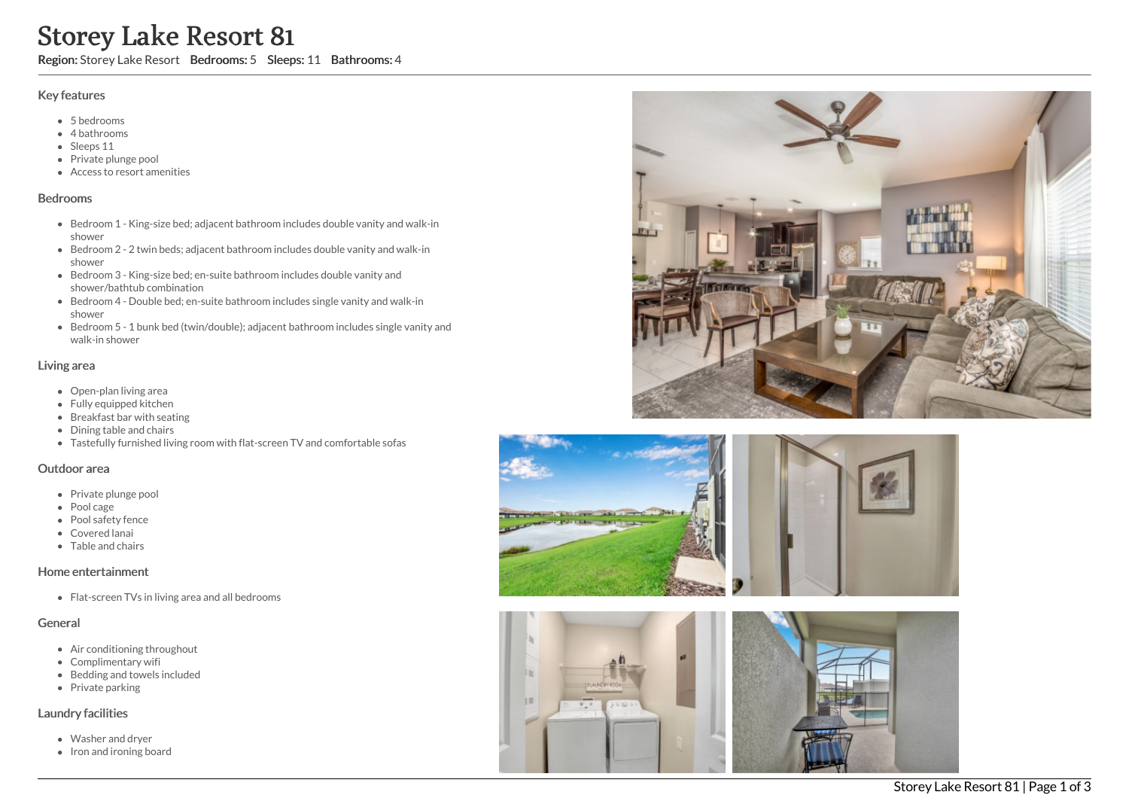# Storey Lake Resort 81

Region: Storey Lake Resort Bedrooms: 5 Sleeps: 11 Bathrooms: 4

#### Key features

- 5 b e d r o o m s
- 4 bathrooms
- Sleeps 11
- Private plunge pool
- Access to resort amenities

#### **Bedrooms**

- Bedroom 1 King-size bed; adjacent bathroom includes double vanity and walk-in s h o w e r
- Bedroom 2 2 twin beds; adjacent bathroom includes double vanity and walk-in s h o w e r
- Bedroom 3 King-size bed; en-suite bathroom includes double vanity and shower/bathtub combination
- Bedroom 4 Double bed; en-suite bathroom includes single vanity and walk-in s h o w e r
- Bedroom 5 1 bunk bed (twin/double); adjacent bathroom includes single vanity and walk-in shower

## Living area

- Open-plan living area
- Fully equipped kitchen
- Breakfast bar with seating
- Dining table and chairs
- Tastefully furnished living room with flat-screen TV and comfortable sofas

#### Outdoor area

- Private plunge pool
- Pool cage
- Pool safety fence
- Covered lanai
- Table and chairs

## Home entertainment

Flat-screen TVs in living area and all bedrooms

## General

- Air conditioning throughout
- Complimentary wifi
- Bedding and towels in clu d e d
- Private parking

## Laundry facilities

- Washer and dryer
- Iron and ironing board







主题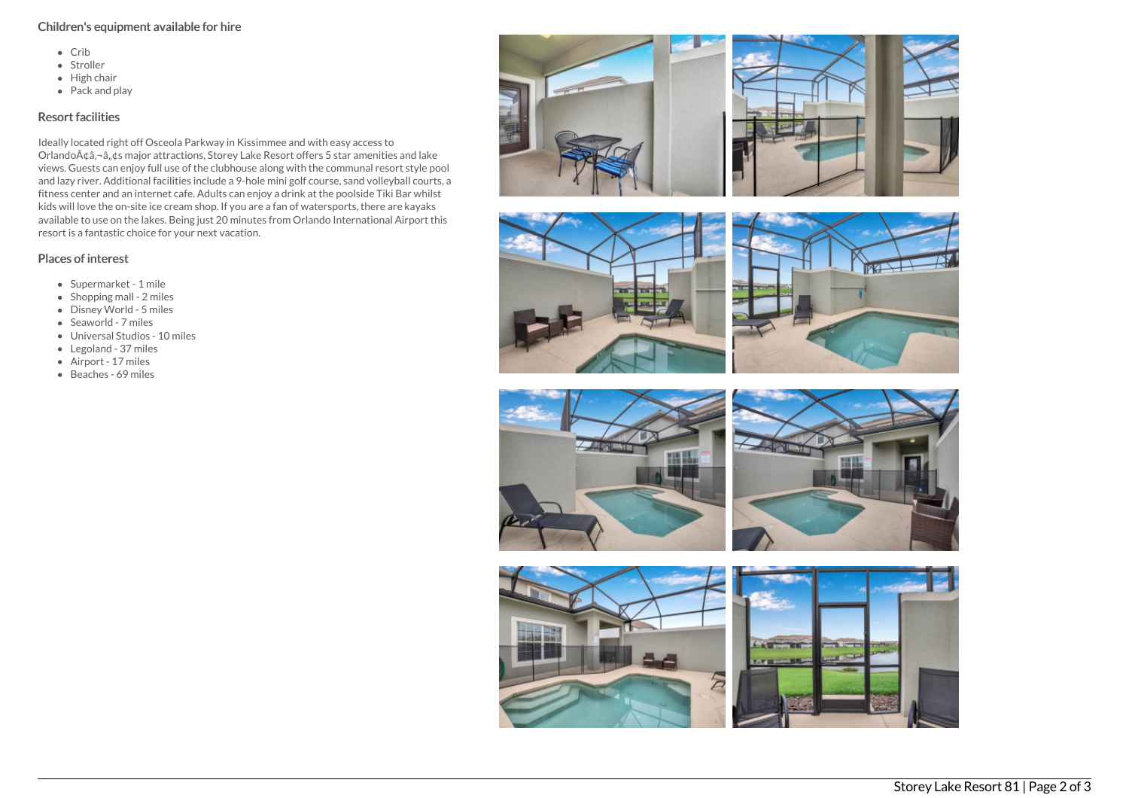# Children's equipment available for hire

- $\bullet$  Crib
- Stroller
- $\bullet$  High chair
- $\bullet$  Pack and play

# Resort facilities

Ideally located right off Osceola Parkway in Kissimmee and with easy access to Orlando $\tilde{A}$ ¢â,¬â, $\tilde{g}$ s major attractions, Storey Lake Resort offers 5 star amenities and lake views. Guests can enjoy full use of the clubhouse along with the communal resort style pool and lazy river. Additional facilities include a 9-hole mini golf course, sand volleyball courts, a fitness center and an internet cafe. Adults can enjoy a drink at the poolside Tiki Bar whilst kids will love the on-site ice cream shop. If you are a fan of watersports, there are kayaks available to use on the lakes. Being just 20 minutes from Orlando International Airport this resort is a fantastic choice for your next vacation.

# Places of interest

- Supermarket 1 mile
- $\bullet$  Shopping mall 2 miles
- Disney World 5 miles
- Seaworld 7 miles
- Universal Studios 10 miles
- Legoland 37 miles
- Airport 17 miles
- Beaches 69 miles